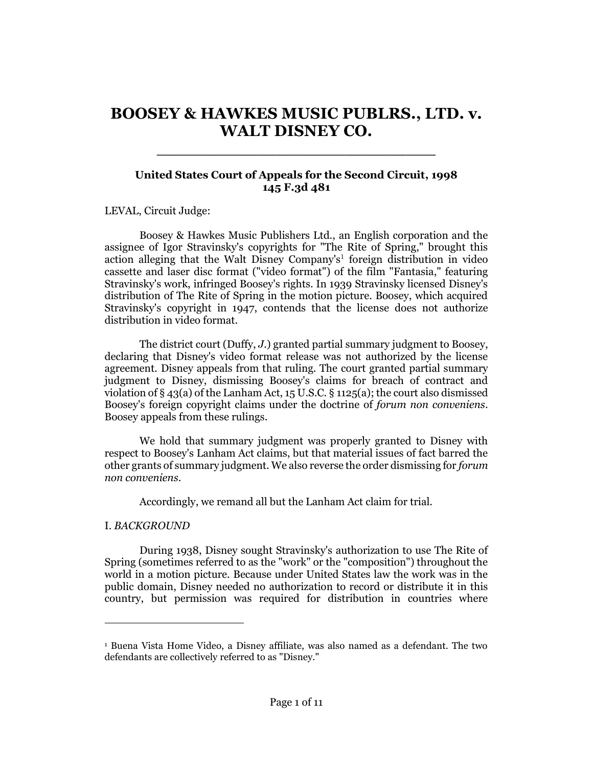# **BOOSEY & HAWKES MUSIC PUBLRS., LTD. v. WALT DISNEY CO.**

\_\_\_\_\_\_\_\_\_\_\_\_\_\_\_\_\_\_\_\_\_\_\_\_\_\_\_\_

## **United States Court of Appeals for the Second Circuit, 1998 145 F.3d 481**

LEVAL, Circuit Judge:

Boosey & Hawkes Music Publishers Ltd., an English corporation and the assignee of Igor Stravinsky's copyrights for "The Rite of Spring," brought this action alleging that the Walt Disney Company's<sup>1</sup> foreign distribution in video cassette and laser disc format ("video format") of the film "Fantasia," featuring Stravinsky's work, infringed Boosey's rights. In 1939 Stravinsky licensed Disney's distribution of The Rite of Spring in the motion picture. Boosey, which acquired Stravinsky's copyright in 1947, contends that the license does not authorize distribution in video format.

The district court (Duffy, *J.*) granted partial summary judgment to Boosey, declaring that Disney's video format release was not authorized by the license agreement. Disney appeals from that ruling. The court granted partial summary judgment to Disney, dismissing Boosey's claims for breach of contract and violation of § 43(a) of the Lanham Act, 15 U.S.C. § 1125(a); the court also dismissed Boosey's foreign copyright claims under the doctrine of *forum non conveniens*. Boosey appeals from these rulings.

We hold that summary judgment was properly granted to Disney with respect to Boosey's Lanham Act claims, but that material issues of fact barred the other grants of summary judgment. We also reverse the order dismissing for *forum non conveniens*.

Accordingly, we remand all but the Lanham Act claim for trial.

#### I. *BACKGROUND*

 $\overline{a}$ 

During 1938, Disney sought Stravinsky's authorization to use The Rite of Spring (sometimes referred to as the "work" or the "composition") throughout the world in a motion picture. Because under United States law the work was in the public domain, Disney needed no authorization to record or distribute it in this country, but permission was required for distribution in countries where

<sup>1</sup> Buena Vista Home Video, a Disney affiliate, was also named as a defendant. The two defendants are collectively referred to as "Disney."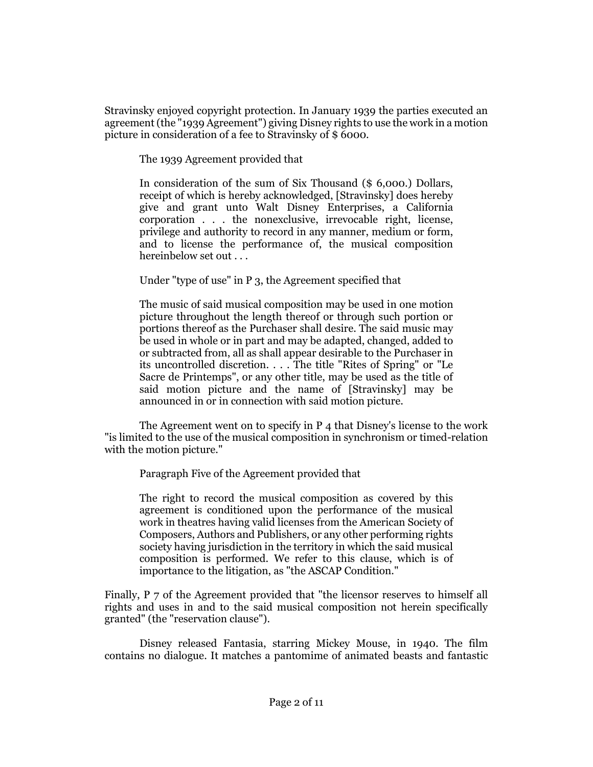Stravinsky enjoyed copyright protection. In January 1939 the parties executed an agreement (the "1939 Agreement") giving Disney rights to use the work in a motion picture in consideration of a fee to Stravinsky of \$ 6000.

The 1939 Agreement provided that

In consideration of the sum of Six Thousand (\$ 6,000.) Dollars, receipt of which is hereby acknowledged, [Stravinsky] does hereby give and grant unto Walt Disney Enterprises, a California corporation . . . the nonexclusive, irrevocable right, license, privilege and authority to record in any manner, medium or form, and to license the performance of, the musical composition hereinbelow set out . . .

Under "type of use" in P 3, the Agreement specified that

The music of said musical composition may be used in one motion picture throughout the length thereof or through such portion or portions thereof as the Purchaser shall desire. The said music may be used in whole or in part and may be adapted, changed, added to or subtracted from, all as shall appear desirable to the Purchaser in its uncontrolled discretion. . . . The title "Rites of Spring" or "Le Sacre de Printemps", or any other title, may be used as the title of said motion picture and the name of [Stravinsky] may be announced in or in connection with said motion picture.

The Agreement went on to specify in P 4 that Disney's license to the work "is limited to the use of the musical composition in synchronism or timed-relation with the motion picture."

Paragraph Five of the Agreement provided that

The right to record the musical composition as covered by this agreement is conditioned upon the performance of the musical work in theatres having valid licenses from the American Society of Composers, Authors and Publishers, or any other performing rights society having jurisdiction in the territory in which the said musical composition is performed. We refer to this clause, which is of importance to the litigation, as "the ASCAP Condition."

Finally, P 7 of the Agreement provided that "the licensor reserves to himself all rights and uses in and to the said musical composition not herein specifically granted" (the "reservation clause").

Disney released Fantasia, starring Mickey Mouse, in 1940. The film contains no dialogue. It matches a pantomime of animated beasts and fantastic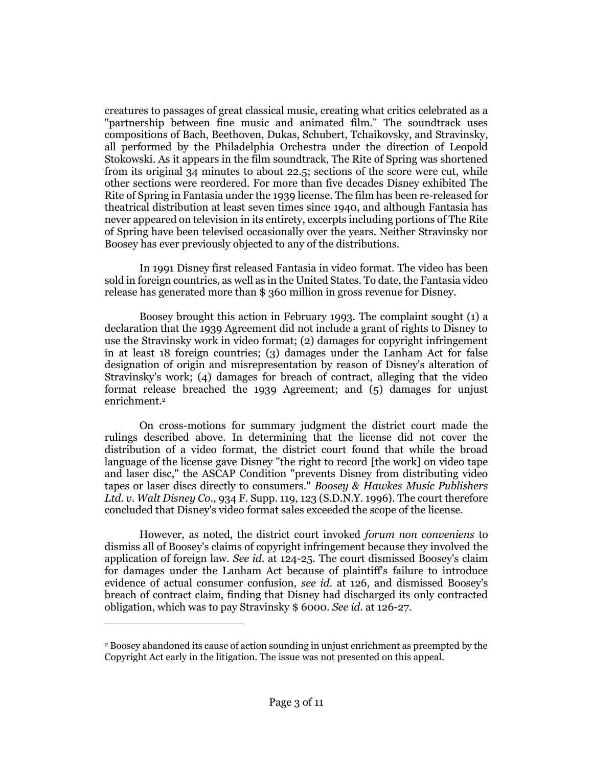creatures to passages of great classical music, creating what critics celebrated as a "partnership between fine music and animated film." The soundtrack uses compositions of Bach, Beethoven, Dukas, Schubert, Tchaikovsky, and Stravinsky, all performed by the Philadelphia Orchestra under the direction of Leopold Stokowski. As it appears in the film soundtrack, The Rite of Spring was shortened from its original 34 minutes to about 22.5; sections of the score were cut, while other sections were reordered. For more than five decades Disney exhibited The Rite of Spring in Fantasia under the 1939 license. The film has been re-released for theatrical distribution at least seven times since 1940, and although Fantasia has never appeared on television in its entirety, excerpts including portions of The Rite of Spring have been televised occasionally over the years. Neither Stravinsky nor Boosey has ever previously objected to any of the distributions.

In 1991 Disney first released Fantasia in video format. The video has been sold in foreign countries, as well as in the United States. To date, the Fantasia video release has generated more than \$ 360 million in gross revenue for Disney.

Boosey brought this action in February 1993. The complaint sought (1) a declaration that the 1939 Agreement did not include a grant of rights to Disney to use the Stravinsky work in video format; (2) damages for copyright infringement in at least 18 foreign countries; (3) damages under the Lanham Act for false designation of origin and misrepresentation by reason of Disney's alteration of Stravinsky's work; (4) damages for breach of contract, alleging that the video format release breached the 1939 Agreement; and (5) damages for unjust enrichment.<sup>2</sup>

On cross-motions for summary judgment the district court made the rulings described above. In determining that the license did not cover the distribution of a video format, the district court found that while the broad language of the license gave Disney "the right to record [the work] on video tape and laser disc," the ASCAP Condition "prevents Disney from distributing video tapes or laser discs directly to consumers." *Boosey & Hawkes Music Publishers Ltd. v. Walt Disney Co.,* 934 F. Supp. 119, 123 (S.D.N.Y. 1996). The court therefore concluded that Disney's video format sales exceeded the scope of the license.

However, as noted, the district court invoked *forum non conveniens* to dismiss all of Boosey's claims of copyright infringement because they involved the application of foreign law. *See id*. at 124-25. The court dismissed Boosey's claim for damages under the Lanham Act because of plaintiff's failure to introduce evidence of actual consumer confusion, *see id*. at 126, and dismissed Boosey's breach of contract claim, finding that Disney had discharged its only contracted obligation, which was to pay Stravinsky \$ 6000. *See id*. at 126-27.

<sup>2</sup> Boosey abandoned its cause of action sounding in unjust enrichment as preempted by the Copyright Act early in the litigation. The issue was not presented on this appeal.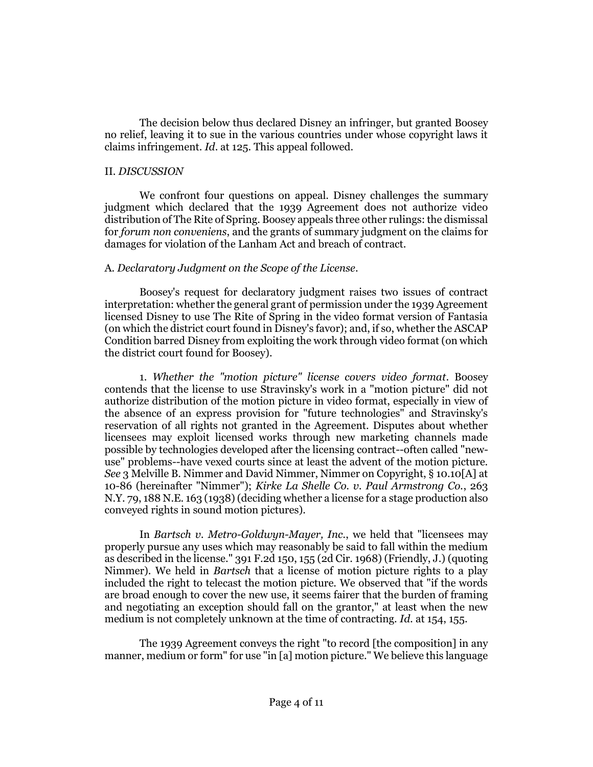The decision below thus declared Disney an infringer, but granted Boosey no relief, leaving it to sue in the various countries under whose copyright laws it claims infringement. *Id*. at 125. This appeal followed.

#### II. *DISCUSSION*

We confront four questions on appeal. Disney challenges the summary judgment which declared that the 1939 Agreement does not authorize video distribution of The Rite of Spring. Boosey appeals three other rulings: the dismissal for *forum non conveniens*, and the grants of summary judgment on the claims for damages for violation of the Lanham Act and breach of contract.

## A. *Declaratory Judgment on the Scope of the License*.

Boosey's request for declaratory judgment raises two issues of contract interpretation: whether the general grant of permission under the 1939 Agreement licensed Disney to use The Rite of Spring in the video format version of Fantasia (on which the district court found in Disney's favor); and, if so, whether the ASCAP Condition barred Disney from exploiting the work through video format (on which the district court found for Boosey).

1. *Whether the "motion picture" license covers video format*. Boosey contends that the license to use Stravinsky's work in a "motion picture" did not authorize distribution of the motion picture in video format, especially in view of the absence of an express provision for "future technologies" and Stravinsky's reservation of all rights not granted in the Agreement. Disputes about whether licensees may exploit licensed works through new marketing channels made possible by technologies developed after the licensing contract--often called "newuse" problems--have vexed courts since at least the advent of the motion picture. *See* 3 Melville B. Nimmer and David Nimmer, Nimmer on Copyright, § 10.10[A] at 10-86 (hereinafter "Nimmer"); *Kirke La Shelle Co. v. Paul Armstrong Co.*, 263 N.Y. 79, 188 N.E. 163 (1938) (deciding whether a license for a stage production also conveyed rights in sound motion pictures).

In *Bartsch v. Metro-Goldwyn-Mayer, Inc.*, we held that "licensees may properly pursue any uses which may reasonably be said to fall within the medium as described in the license." 391 F.2d 150, 155 (2d Cir. 1968) (Friendly, J.) (quoting Nimmer). We held in *Bartsch* that a license of motion picture rights to a play included the right to telecast the motion picture. We observed that "if the words are broad enough to cover the new use, it seems fairer that the burden of framing and negotiating an exception should fall on the grantor," at least when the new medium is not completely unknown at the time of contracting. *Id.* at 154, 155.

The 1939 Agreement conveys the right "to record [the composition] in any manner, medium or form" for use "in [a] motion picture." We believe this language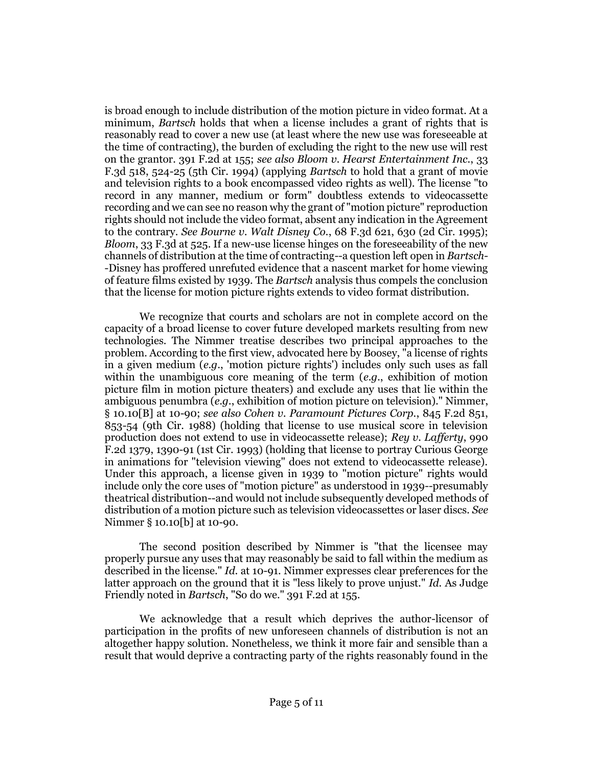is broad enough to include distribution of the motion picture in video format. At a minimum, *Bartsch* holds that when a license includes a grant of rights that is reasonably read to cover a new use (at least where the new use was foreseeable at the time of contracting), the burden of excluding the right to the new use will rest on the grantor. 391 F.2d at 155; *see also Bloom v. Hearst Entertainment Inc.*, 33 F.3d 518, 524-25 (5th Cir. 1994) (applying *Bartsch* to hold that a grant of movie and television rights to a book encompassed video rights as well). The license "to record in any manner, medium or form" doubtless extends to videocassette recording and we can see no reason why the grant of "motion picture" reproduction rights should not include the video format, absent any indication in the Agreement to the contrary. *See Bourne v. Walt Disney Co.*, 68 F.3d 621, 630 (2d Cir. 1995); *Bloom*, 33 F.3d at 525. If a new-use license hinges on the foreseeability of the new channels of distribution at the time of contracting--a question left open in *Bartsch*- -Disney has proffered unrefuted evidence that a nascent market for home viewing of feature films existed by 1939. The *Bartsch* analysis thus compels the conclusion that the license for motion picture rights extends to video format distribution.

We recognize that courts and scholars are not in complete accord on the capacity of a broad license to cover future developed markets resulting from new technologies. The Nimmer treatise describes two principal approaches to the problem. According to the first view, advocated here by Boosey, "a license of rights in a given medium (*e.g.*, 'motion picture rights') includes only such uses as fall within the unambiguous core meaning of the term (*e.g.*, exhibition of motion picture film in motion picture theaters) and exclude any uses that lie within the ambiguous penumbra (*e.g.*, exhibition of motion picture on television)." Nimmer, § 10.10[B] at 10-90; *see also Cohen v. Paramount Pictures Corp.*, 845 F.2d 851, 853-54 (9th Cir. 1988) (holding that license to use musical score in television production does not extend to use in videocassette release); *Rey v. Lafferty*, 990 F.2d 1379, 1390-91 (1st Cir. 1993) (holding that license to portray Curious George in animations for "television viewing" does not extend to videocassette release). Under this approach, a license given in 1939 to "motion picture" rights would include only the core uses of "motion picture" as understood in 1939--presumably theatrical distribution--and would not include subsequently developed methods of distribution of a motion picture such as television videocassettes or laser discs. *See* Nimmer § 10.10[b] at 10-90.

The second position described by Nimmer is "that the licensee may properly pursue any uses that may reasonably be said to fall within the medium as described in the license." *Id.* at 10-91. Nimmer expresses clear preferences for the latter approach on the ground that it is "less likely to prove unjust." *Id.* As Judge Friendly noted in *Bartsch*, "So do we." 391 F.2d at 155.

We acknowledge that a result which deprives the author-licensor of participation in the profits of new unforeseen channels of distribution is not an altogether happy solution. Nonetheless, we think it more fair and sensible than a result that would deprive a contracting party of the rights reasonably found in the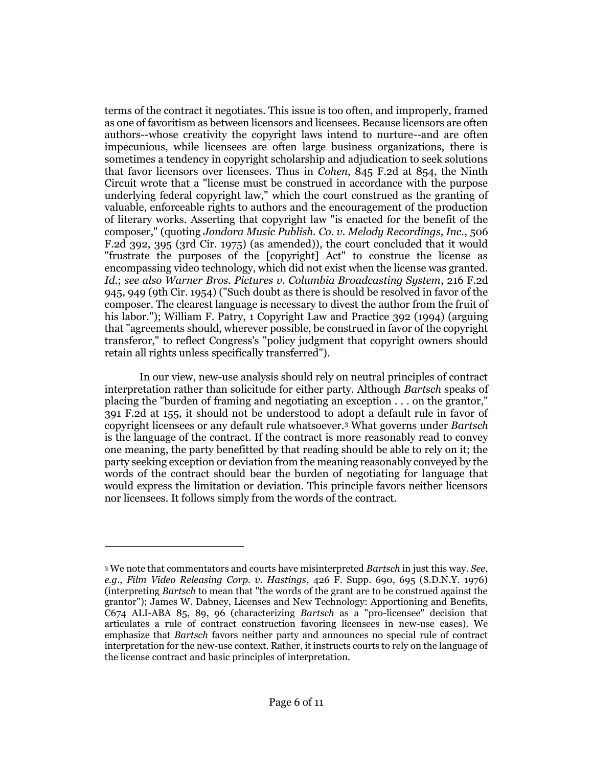terms of the contract it negotiates. This issue is too often, and improperly, framed as one of favoritism as between licensors and licensees. Because licensors are often authors--whose creativity the copyright laws intend to nurture--and are often impecunious, while licensees are often large business organizations, there is sometimes a tendency in copyright scholarship and adjudication to seek solutions that favor licensors over licensees. Thus in *Cohen*, 845 F.2d at 854, the Ninth Circuit wrote that a "license must be construed in accordance with the purpose underlying federal copyright law," which the court construed as the granting of valuable, enforceable rights to authors and the encouragement of the production of literary works. Asserting that copyright law "is enacted for the benefit of the composer," (quoting *Jondora Music Publish. Co. v. Melody Recordings, Inc.*, 506 F.2d 392, 395 (3rd Cir. 1975) (as amended)), the court concluded that it would "frustrate the purposes of the [copyright] Act" to construe the license as encompassing video technology, which did not exist when the license was granted. *Id.*; *see also Warner Bros. Pictures v. Columbia Broadcasting System*, 216 F.2d 945, 949 (9th Cir. 1954) ("Such doubt as there is should be resolved in favor of the composer. The clearest language is necessary to divest the author from the fruit of his labor."); William F. Patry, 1 Copyright Law and Practice 392 (1994) (arguing that "agreements should, wherever possible, be construed in favor of the copyright transferor," to reflect Congress's "policy judgment that copyright owners should retain all rights unless specifically transferred").

In our view, new-use analysis should rely on neutral principles of contract interpretation rather than solicitude for either party. Although *Bartsch* speaks of placing the "burden of framing and negotiating an exception . . . on the grantor," 391 F.2d at 155, it should not be understood to adopt a default rule in favor of copyright licensees or any default rule whatsoever.<sup>3</sup> What governs under *Bartsch* is the language of the contract. If the contract is more reasonably read to convey one meaning, the party benefitted by that reading should be able to rely on it; the party seeking exception or deviation from the meaning reasonably conveyed by the words of the contract should bear the burden of negotiating for language that would express the limitation or deviation. This principle favors neither licensors nor licensees. It follows simply from the words of the contract.

<sup>3</sup> We note that commentators and courts have misinterpreted *Bartsch* in just this way. *See*, *e.g.*, *Film Video Releasing Corp. v. Hastings*, 426 F. Supp. 690, 695 (S.D.N.Y. 1976) (interpreting *Bartsch* to mean that "the words of the grant are to be construed against the grantor"); James W. Dabney, Licenses and New Technology: Apportioning and Benefits, C674 ALI-ABA 85, 89, 96 (characterizing *Bartsch* as a "pro-licensee" decision that articulates a rule of contract construction favoring licensees in new-use cases). We emphasize that *Bartsch* favors neither party and announces no special rule of contract interpretation for the new-use context. Rather, it instructs courts to rely on the language of the license contract and basic principles of interpretation.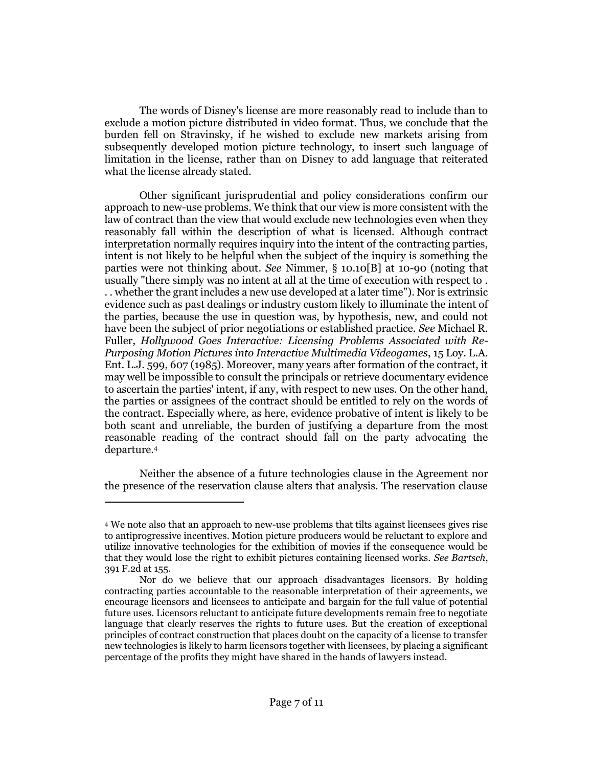The words of Disney's license are more reasonably read to include than to exclude a motion picture distributed in video format. Thus, we conclude that the burden fell on Stravinsky, if he wished to exclude new markets arising from subsequently developed motion picture technology, to insert such language of limitation in the license, rather than on Disney to add language that reiterated what the license already stated.

Other significant jurisprudential and policy considerations confirm our approach to new-use problems. We think that our view is more consistent with the law of contract than the view that would exclude new technologies even when they reasonably fall within the description of what is licensed. Although contract interpretation normally requires inquiry into the intent of the contracting parties, intent is not likely to be helpful when the subject of the inquiry is something the parties were not thinking about. *See* Nimmer, § 10.10[B] at 10-90 (noting that usually "there simply was no intent at all at the time of execution with respect to . . . whether the grant includes a new use developed at a later time"). Nor is extrinsic evidence such as past dealings or industry custom likely to illuminate the intent of the parties, because the use in question was, by hypothesis, new, and could not have been the subject of prior negotiations or established practice. *See* Michael R. Fuller, *Hollywood Goes Interactive: Licensing Problems Associated with Re-Purposing Motion Pictures into Interactive Multimedia Videogames*, 15 Loy. L.A. Ent. L.J. 599, 607 (1985). Moreover, many years after formation of the contract, it may well be impossible to consult the principals or retrieve documentary evidence to ascertain the parties' intent, if any, with respect to new uses. On the other hand, the parties or assignees of the contract should be entitled to rely on the words of the contract. Especially where, as here, evidence probative of intent is likely to be both scant and unreliable, the burden of justifying a departure from the most reasonable reading of the contract should fall on the party advocating the departure.<sup>4</sup>

Neither the absence of a future technologies clause in the Agreement nor the presence of the reservation clause alters that analysis. The reservation clause

<sup>4</sup> We note also that an approach to new-use problems that tilts against licensees gives rise to antiprogressive incentives. Motion picture producers would be reluctant to explore and utilize innovative technologies for the exhibition of movies if the consequence would be that they would lose the right to exhibit pictures containing licensed works. *See Bartsch*, 391 F.2d at 155.

Nor do we believe that our approach disadvantages licensors. By holding contracting parties accountable to the reasonable interpretation of their agreements, we encourage licensors and licensees to anticipate and bargain for the full value of potential future uses. Licensors reluctant to anticipate future developments remain free to negotiate language that clearly reserves the rights to future uses. But the creation of exceptional principles of contract construction that places doubt on the capacity of a license to transfer new technologies is likely to harm licensors together with licensees, by placing a significant percentage of the profits they might have shared in the hands of lawyers instead.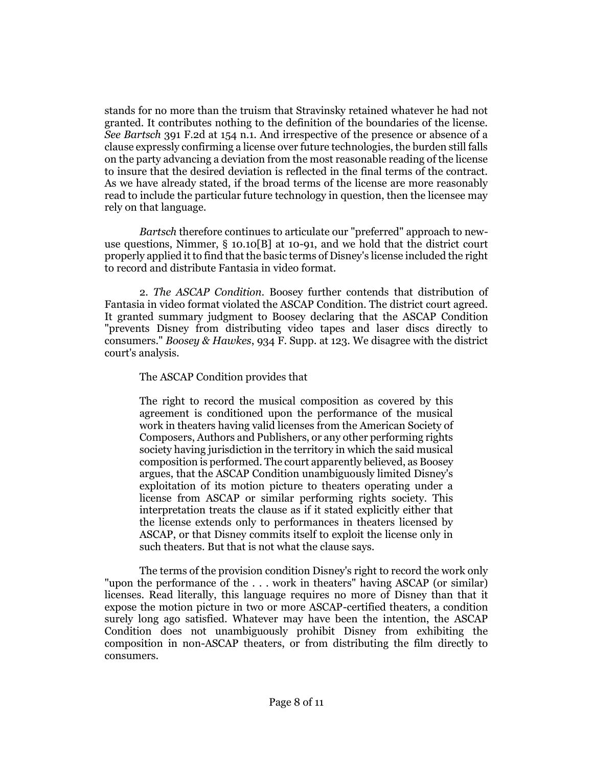stands for no more than the truism that Stravinsky retained whatever he had not granted. It contributes nothing to the definition of the boundaries of the license. *See Bartsch* 391 F.2d at 154 n.1. And irrespective of the presence or absence of a clause expressly confirming a license over future technologies, the burden still falls on the party advancing a deviation from the most reasonable reading of the license to insure that the desired deviation is reflected in the final terms of the contract. As we have already stated, if the broad terms of the license are more reasonably read to include the particular future technology in question, then the licensee may rely on that language.

*Bartsch* therefore continues to articulate our "preferred" approach to newuse questions, Nimmer, § 10.10[B] at 10-91, and we hold that the district court properly applied it to find that the basic terms of Disney's license included the right to record and distribute Fantasia in video format.

2. *The ASCAP Condition*. Boosey further contends that distribution of Fantasia in video format violated the ASCAP Condition. The district court agreed. It granted summary judgment to Boosey declaring that the ASCAP Condition "prevents Disney from distributing video tapes and laser discs directly to consumers." *Boosey & Hawkes*, 934 F. Supp. at 123. We disagree with the district court's analysis.

### The ASCAP Condition provides that

The right to record the musical composition as covered by this agreement is conditioned upon the performance of the musical work in theaters having valid licenses from the American Society of Composers, Authors and Publishers, or any other performing rights society having jurisdiction in the territory in which the said musical composition is performed. The court apparently believed, as Boosey argues, that the ASCAP Condition unambiguously limited Disney's exploitation of its motion picture to theaters operating under a license from ASCAP or similar performing rights society. This interpretation treats the clause as if it stated explicitly either that the license extends only to performances in theaters licensed by ASCAP, or that Disney commits itself to exploit the license only in such theaters. But that is not what the clause says.

The terms of the provision condition Disney's right to record the work only "upon the performance of the . . . work in theaters" having ASCAP (or similar) licenses. Read literally, this language requires no more of Disney than that it expose the motion picture in two or more ASCAP-certified theaters, a condition surely long ago satisfied. Whatever may have been the intention, the ASCAP Condition does not unambiguously prohibit Disney from exhibiting the composition in non-ASCAP theaters, or from distributing the film directly to consumers.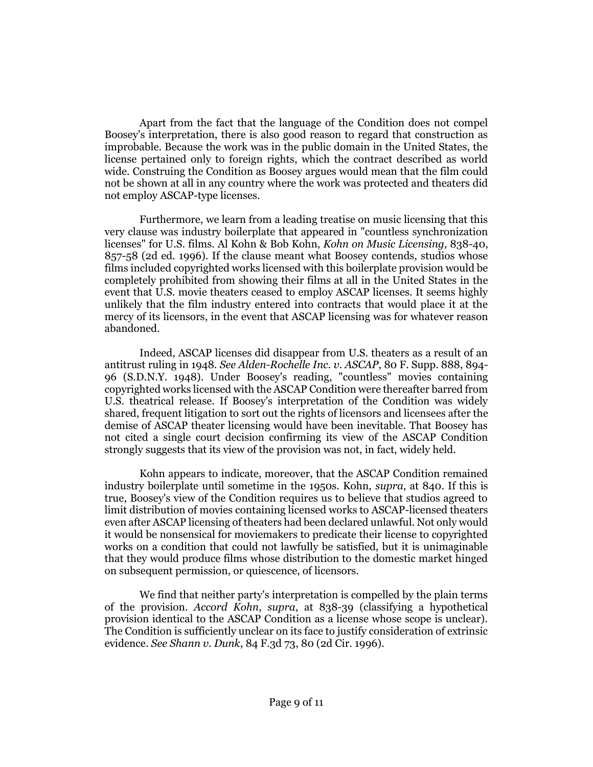Apart from the fact that the language of the Condition does not compel Boosey's interpretation, there is also good reason to regard that construction as improbable. Because the work was in the public domain in the United States, the license pertained only to foreign rights, which the contract described as world wide. Construing the Condition as Boosey argues would mean that the film could not be shown at all in any country where the work was protected and theaters did not employ ASCAP-type licenses.

Furthermore, we learn from a leading treatise on music licensing that this very clause was industry boilerplate that appeared in "countless synchronization licenses" for U.S. films. Al Kohn & Bob Kohn, *Kohn on Music Licensing*, 838-40, 857-58 (2d ed. 1996). If the clause meant what Boosey contends, studios whose films included copyrighted works licensed with this boilerplate provision would be completely prohibited from showing their films at all in the United States in the event that U.S. movie theaters ceased to employ ASCAP licenses. It seems highly unlikely that the film industry entered into contracts that would place it at the mercy of its licensors, in the event that ASCAP licensing was for whatever reason abandoned.

Indeed, ASCAP licenses did disappear from U.S. theaters as a result of an antitrust ruling in 1948. *See Alden-Rochelle Inc. v. ASCAP*, 80 F. Supp. 888, 894- 96 (S.D.N.Y. 1948). Under Boosey's reading, "countless" movies containing copyrighted works licensed with the ASCAP Condition were thereafter barred from U.S. theatrical release. If Boosey's interpretation of the Condition was widely shared, frequent litigation to sort out the rights of licensors and licensees after the demise of ASCAP theater licensing would have been inevitable. That Boosey has not cited a single court decision confirming its view of the ASCAP Condition strongly suggests that its view of the provision was not, in fact, widely held.

Kohn appears to indicate, moreover, that the ASCAP Condition remained industry boilerplate until sometime in the 1950s. Kohn, *supra*, at 840. If this is true, Boosey's view of the Condition requires us to believe that studios agreed to limit distribution of movies containing licensed works to ASCAP-licensed theaters even after ASCAP licensing of theaters had been declared unlawful. Not only would it would be nonsensical for moviemakers to predicate their license to copyrighted works on a condition that could not lawfully be satisfied, but it is unimaginable that they would produce films whose distribution to the domestic market hinged on subsequent permission, or quiescence, of licensors.

We find that neither party's interpretation is compelled by the plain terms of the provision. *Accord Kohn*, *supra*, at 838-39 (classifying a hypothetical provision identical to the ASCAP Condition as a license whose scope is unclear). The Condition is sufficiently unclear on its face to justify consideration of extrinsic evidence. *See Shann v. Dunk*, 84 F.3d 73, 80 (2d Cir. 1996).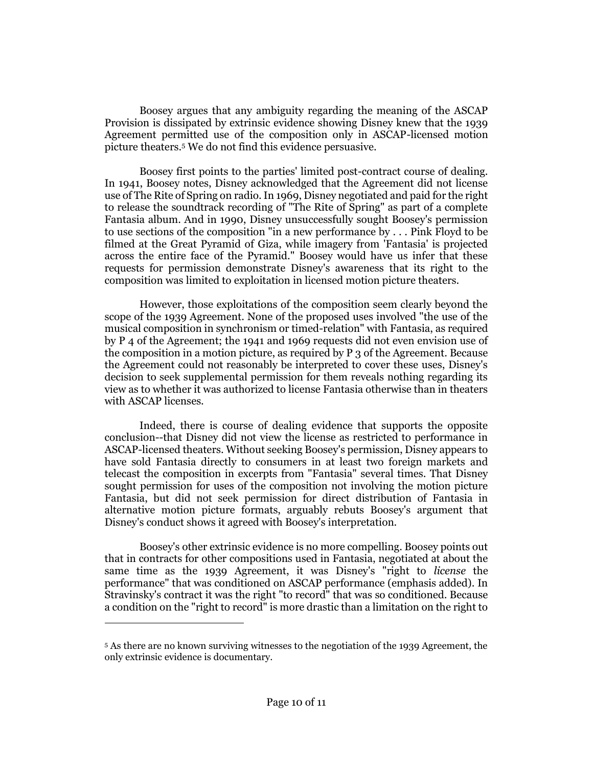Boosey argues that any ambiguity regarding the meaning of the ASCAP Provision is dissipated by extrinsic evidence showing Disney knew that the 1939 Agreement permitted use of the composition only in ASCAP-licensed motion picture theaters.<sup>5</sup> We do not find this evidence persuasive.

Boosey first points to the parties' limited post-contract course of dealing. In 1941, Boosey notes, Disney acknowledged that the Agreement did not license use of The Rite of Spring on radio. In 1969, Disney negotiated and paid for the right to release the soundtrack recording of "The Rite of Spring" as part of a complete Fantasia album. And in 1990, Disney unsuccessfully sought Boosey's permission to use sections of the composition "in a new performance by . . . Pink Floyd to be filmed at the Great Pyramid of Giza, while imagery from 'Fantasia' is projected across the entire face of the Pyramid." Boosey would have us infer that these requests for permission demonstrate Disney's awareness that its right to the composition was limited to exploitation in licensed motion picture theaters.

However, those exploitations of the composition seem clearly beyond the scope of the 1939 Agreement. None of the proposed uses involved "the use of the musical composition in synchronism or timed-relation" with Fantasia, as required by P 4 of the Agreement; the 1941 and 1969 requests did not even envision use of the composition in a motion picture, as required by P 3 of the Agreement. Because the Agreement could not reasonably be interpreted to cover these uses, Disney's decision to seek supplemental permission for them reveals nothing regarding its view as to whether it was authorized to license Fantasia otherwise than in theaters with ASCAP licenses.

Indeed, there is course of dealing evidence that supports the opposite conclusion--that Disney did not view the license as restricted to performance in ASCAP-licensed theaters. Without seeking Boosey's permission, Disney appears to have sold Fantasia directly to consumers in at least two foreign markets and telecast the composition in excerpts from "Fantasia" several times. That Disney sought permission for uses of the composition not involving the motion picture Fantasia, but did not seek permission for direct distribution of Fantasia in alternative motion picture formats, arguably rebuts Boosey's argument that Disney's conduct shows it agreed with Boosey's interpretation.

Boosey's other extrinsic evidence is no more compelling. Boosey points out that in contracts for other compositions used in Fantasia, negotiated at about the same time as the 1939 Agreement, it was Disney's "right to *license* the performance" that was conditioned on ASCAP performance (emphasis added). In Stravinsky's contract it was the right "to record" that was so conditioned. Because a condition on the "right to record" is more drastic than a limitation on the right to

<sup>5</sup> As there are no known surviving witnesses to the negotiation of the 1939 Agreement, the only extrinsic evidence is documentary.